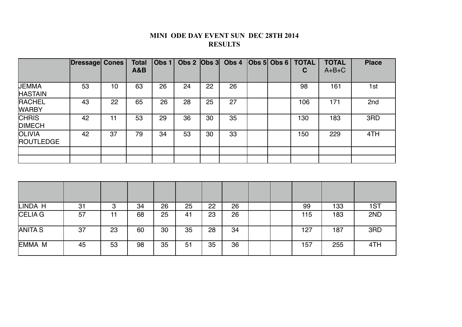## **MINI ODE DAY EVENT SUN DEC 28TH 2014 RESULTS**

|                                   | Dressage Cones |              | <b>Total</b><br><b>A&amp;B</b> | Obs $1$ |     |     | Obs $2$ $ Obs 3 $ Obs $4$ | $\vert$ Obs 5 $\vert$ Obs 6 | <b>TOTAL</b><br>C | <b>TOTAL</b><br>$A+B+C$ | <b>Place</b>    |
|-----------------------------------|----------------|--------------|--------------------------------|---------|-----|-----|---------------------------|-----------------------------|-------------------|-------------------------|-----------------|
| <b>JEMMA</b><br><b>HASTAIN</b>    | 53             | 10           | 63                             | 26      | 24  | 22  | 26                        |                             | 98                | 161                     | 1st             |
| <b>RACHEL</b><br><b>WARBY</b>     | 43             | 22           | 65                             | 26      | 28  | 25  | 27                        |                             | 106               | 171                     | 2nd             |
| <b>CHRIS</b><br><b>DIMECH</b>     | 42             | 11           | 53                             | 29      | 36  | 30  | 35                        |                             | 130               | 183                     | 3RD             |
| <b>OLIVIA</b><br><b>ROUTLEDGE</b> | 42             | 37           | 79                             | 34      | 53  | 30  | 33                        |                             | 150               | 229                     | 4TH             |
|                                   |                |              |                                |         |     |     |                           |                             |                   |                         |                 |
|                                   |                |              |                                |         |     |     |                           |                             |                   |                         |                 |
|                                   |                |              |                                |         |     |     |                           |                             |                   |                         |                 |
| II INDA LI                        | 0.4            | <sup>o</sup> | $\Omega$                       | ne.     | OE. | nn. | ne.                       |                             | nn.               | 100                     | 4 <sub>CT</sub> |

| LINDA H | 31 |    | 34 | 26 | 25 | 22 | 26 |  | 99  | 133 | 1ST |
|---------|----|----|----|----|----|----|----|--|-----|-----|-----|
| CELIA G | 57 |    | 68 | 25 | 41 | 23 | 26 |  | 115 | 183 | 2ND |
| ANITA S | 37 | 23 | 60 | 30 | 35 | 28 | 34 |  | 127 | 187 | 3RD |
| EMMA M  | 45 | 53 | 98 | 35 | 51 | 35 | 36 |  | 157 | 255 | 4TH |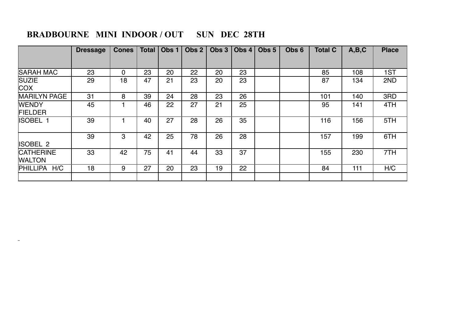## **BRADBOURNE MINI INDOOR / OUT SUN DEC 28TH**

 $\sim$ 

|                                   | <b>Dressage</b> | <b>Cones</b> |    |    | Total $\vert$ Obs 1 $\vert$ Obs 2 |    | Obs $3   Obs 4   Obs 5$ | Obs <sub>6</sub> | <b>Total C</b> | A,B,C | <b>Place</b> |
|-----------------------------------|-----------------|--------------|----|----|-----------------------------------|----|-------------------------|------------------|----------------|-------|--------------|
|                                   |                 |              |    |    |                                   |    |                         |                  |                |       |              |
| <b>SARAH MAC</b>                  | 23              | $\mathbf 0$  | 23 | 20 | 22                                | 20 | 23                      |                  | 85             | 108   | 1ST          |
| <b>SUZIE</b><br><b>COX</b>        | 29              | 18           | 47 | 21 | 23                                | 20 | 23                      |                  | 87             | 134   | 2ND          |
| <b>MARILYN PAGE</b>               | 31              | 8            | 39 | 24 | 28                                | 23 | 26                      |                  | 101            | 140   | 3RD          |
| <b>WENDY</b><br><b>FIELDER</b>    | 45              |              | 46 | 22 | 27                                | 21 | 25                      |                  | 95             | 141   | 4TH          |
| <b>ISOBEL 1</b>                   | 39              |              | 40 | 27 | 28                                | 26 | 35                      |                  | 116            | 156   | 5TH          |
| <b>ISOBEL 2</b>                   | 39              | 3            | 42 | 25 | 78                                | 26 | 28                      |                  | 157            | 199   | 6TH          |
| <b>CATHERINE</b><br><b>WALTON</b> | 33              | 42           | 75 | 41 | 44                                | 33 | 37                      |                  | 155            | 230   | 7TH          |
| <b>PHILLIPA</b><br>H/C            | 18              | 9            | 27 | 20 | 23                                | 19 | 22                      |                  | 84             | 111   | H/C          |
|                                   |                 |              |    |    |                                   |    |                         |                  |                |       |              |